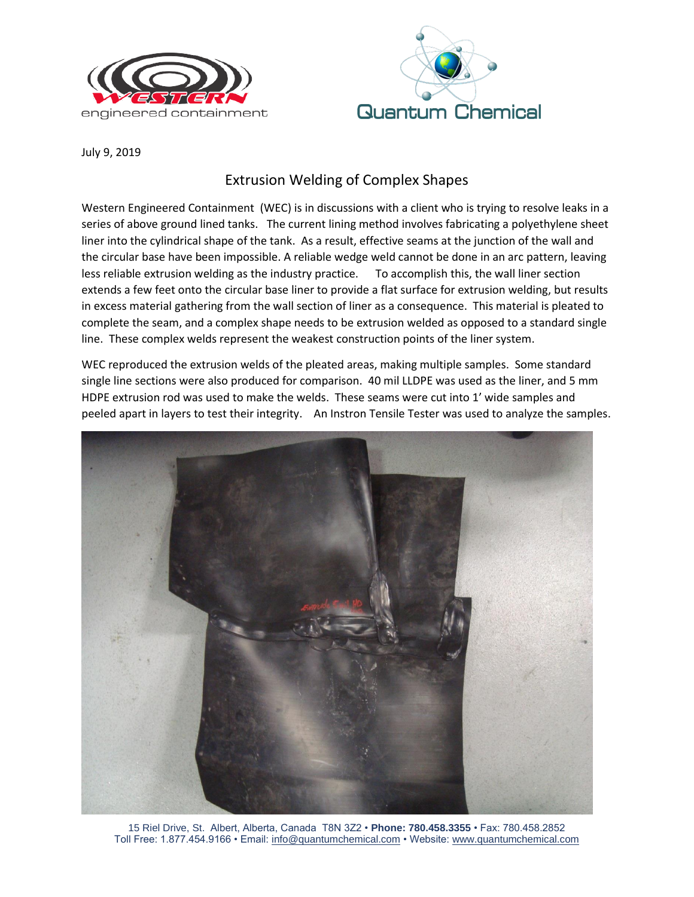



July 9, 2019

## Extrusion Welding of Complex Shapes

Western Engineered Containment (WEC) is in discussions with a client who is trying to resolve leaks in a series of above ground lined tanks. The current lining method involves fabricating a polyethylene sheet liner into the cylindrical shape of the tank. As a result, effective seams at the junction of the wall and the circular base have been impossible. A reliable wedge weld cannot be done in an arc pattern, leaving less reliable extrusion welding as the industry practice. To accomplish this, the wall liner section extends a few feet onto the circular base liner to provide a flat surface for extrusion welding, but results in excess material gathering from the wall section of liner as a consequence. This material is pleated to complete the seam, and a complex shape needs to be extrusion welded as opposed to a standard single line. These complex welds represent the weakest construction points of the liner system.

WEC reproduced the extrusion welds of the pleated areas, making multiple samples. Some standard single line sections were also produced for comparison. 40 mil LLDPE was used as the liner, and 5 mm HDPE extrusion rod was used to make the welds. These seams were cut into 1' wide samples and peeled apart in layers to test their integrity. An Instron Tensile Tester was used to analyze the samples.



15 Riel Drive, St. Albert, Alberta, Canada T8N 3Z2 • **Phone: 780.458.3355** • Fax: 780.458.2852 Toll Free: 1.877.454.9166 • Email[: info@quantumchemical.com](mailto:info@quantumchemical.com) • Website: [www.quantumchemical.com](http://www.quantumchemical.com/)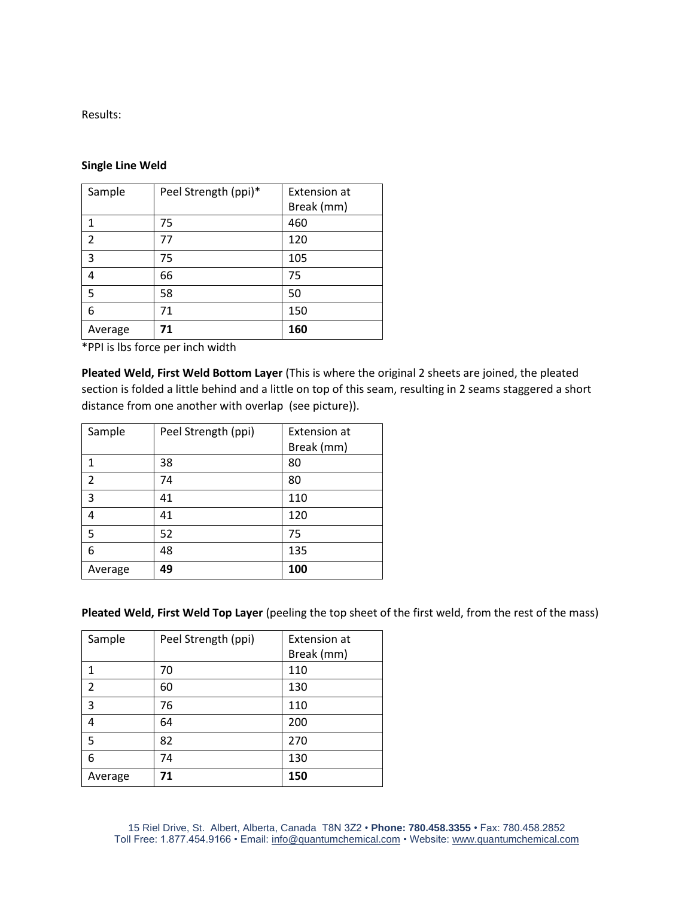Results:

## **Single Line Weld**

| Sample                  | Peel Strength (ppi)* | <b>Extension at</b> |
|-------------------------|----------------------|---------------------|
|                         |                      | Break (mm)          |
| 1                       | 75                   | 460                 |
| $\overline{\mathbf{c}}$ | 77                   | 120                 |
| 3                       | 75                   | 105                 |
| 4                       | 66                   | 75                  |
| 5                       | 58                   | 50                  |
| 6                       | 71                   | 150                 |
| Average                 | 71                   | 160                 |

\*PPI is lbs force per inch width

**Pleated Weld, First Weld Bottom Layer** (This is where the original 2 sheets are joined, the pleated section is folded a little behind and a little on top of this seam, resulting in 2 seams staggered a short distance from one another with overlap (see picture)).

| Sample                  | Peel Strength (ppi) | <b>Extension at</b> |
|-------------------------|---------------------|---------------------|
|                         |                     | Break (mm)          |
| 1                       | 38                  | 80                  |
| $\overline{\mathbf{c}}$ | 74                  | 80                  |
| 3                       | 41                  | 110                 |
| 4                       | 41                  | 120                 |
| 5                       | 52                  | 75                  |
| 6                       | 48                  | 135                 |
| Average                 | 49                  | 100                 |

**Pleated Weld, First Weld Top Layer** (peeling the top sheet of the first weld, from the rest of the mass)

| Sample         | Peel Strength (ppi) | <b>Extension at</b><br>Break (mm) |
|----------------|---------------------|-----------------------------------|
| 1              | 70                  | 110                               |
| $\overline{2}$ | 60                  | 130                               |
| 3              | 76                  | 110                               |
| 4              | 64                  | 200                               |
| 5              | 82                  | 270                               |
| 6              | 74                  | 130                               |
| Average        | 71                  | 150                               |